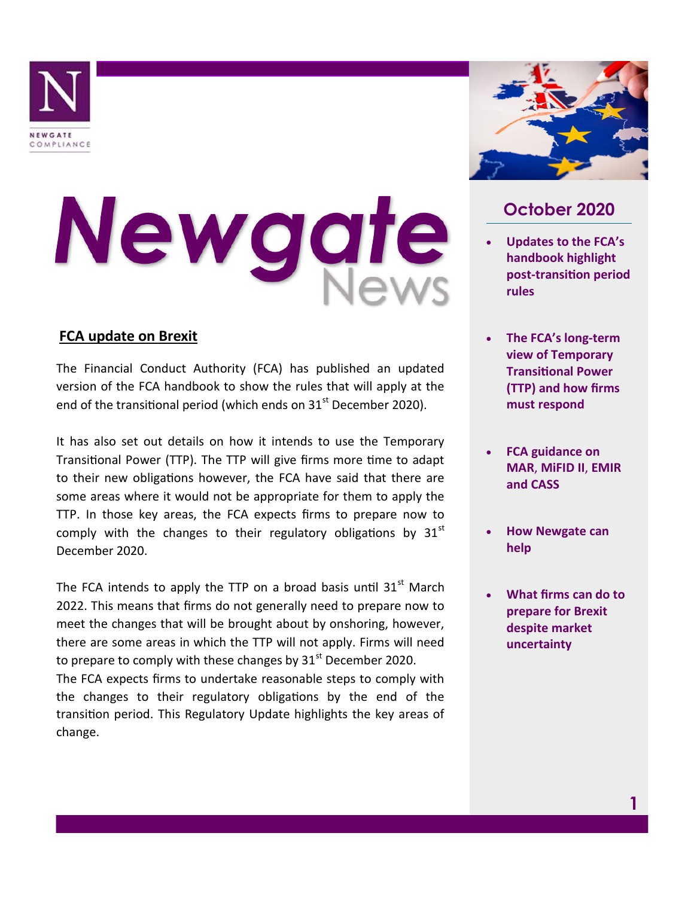

# Newgat

### **FCA update on Brexit**

The Financial Conduct Authority (FCA) has published an updated version of the FCA handbook to show the rules that will apply at the end of the transitional period (which ends on  $31<sup>st</sup>$  December 2020).

It has also set out details on how it intends to use the Temporary Transitional Power (TTP). The TTP will give firms more time to adapt to their new obligations however, the FCA have said that there are some areas where it would not be appropriate for them to apply the TTP. In those key areas, the FCA expects firms to prepare now to comply with the changes to their regulatory obligations by  $31<sup>st</sup>$ December 2020.

The FCA intends to apply the TTP on a broad basis until  $31<sup>st</sup>$  March 2022. This means that firms do not generally need to prepare now to meet the changes that will be brought about by onshoring, however, there are some areas in which the TTP will not apply. Firms will need to prepare to comply with these changes by  $31<sup>st</sup>$  December 2020.

The FCA expects firms to undertake reasonable steps to comply with the changes to their regulatory obligations by the end of the transition period. This Regulatory Update highlights the key areas of change.



# **October 2020**

- **Updates to the FCA's handbook highlight post-transition period rules**
- **The FCA's long-term view of Temporary Transitional Power (TTP) and how firms must respond**
- **FCA guidance on MAR**, **MiFID II**, **EMIR and CASS**
- **How Newgate can help**
- **What firms can do to prepare for Brexit despite market uncertainty**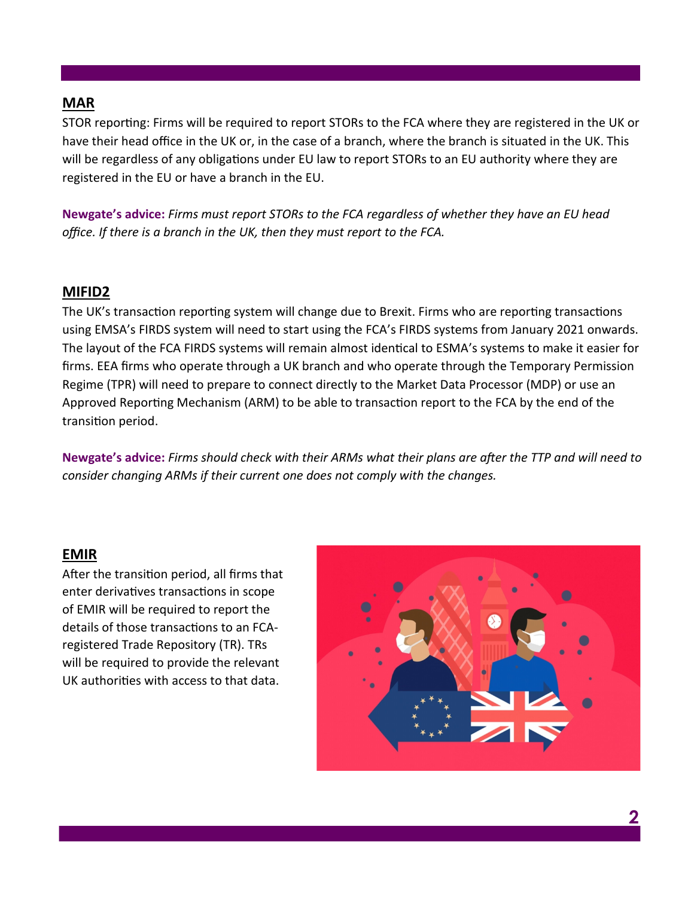#### **MAR**

STOR reporting: Firms will be required to report STORs to the FCA where they are registered in the UK or have their head office in the UK or, in the case of a branch, where the branch is situated in the UK. This will be regardless of any obligations under EU law to report STORs to an EU authority where they are registered in the EU or have a branch in the EU.

**Newgate's advice:** *Firms must report STORs to the FCA regardless of whether they have an EU head office. If there is a branch in the UK, then they must report to the FCA.* 

#### **MIFID2**

The UK's transaction reporting system will change due to Brexit. Firms who are reporting transactions using EMSA's FIRDS system will need to start using the FCA's FIRDS systems from January 2021 onwards. The layout of the FCA FIRDS systems will remain almost identical to ESMA's systems to make it easier for firms. EEA firms who operate through a UK branch and who operate through the Temporary Permission Regime (TPR) will need to prepare to connect directly to the Market Data Processor (MDP) or use an Approved Reporting Mechanism (ARM) to be able to transaction report to the FCA by the end of the transition period.

**Newgate's advice:** *Firms should check with their ARMs what their plans are after the TTP and will need to consider changing ARMs if their current one does not comply with the changes.* 

#### **EMIR**

After the transition period, all firms that enter derivatives transactions in scope of EMIR will be required to report the details of those transactions to an FCAregistered Trade Repository (TR). TRs will be required to provide the relevant UK authorities with access to that data.